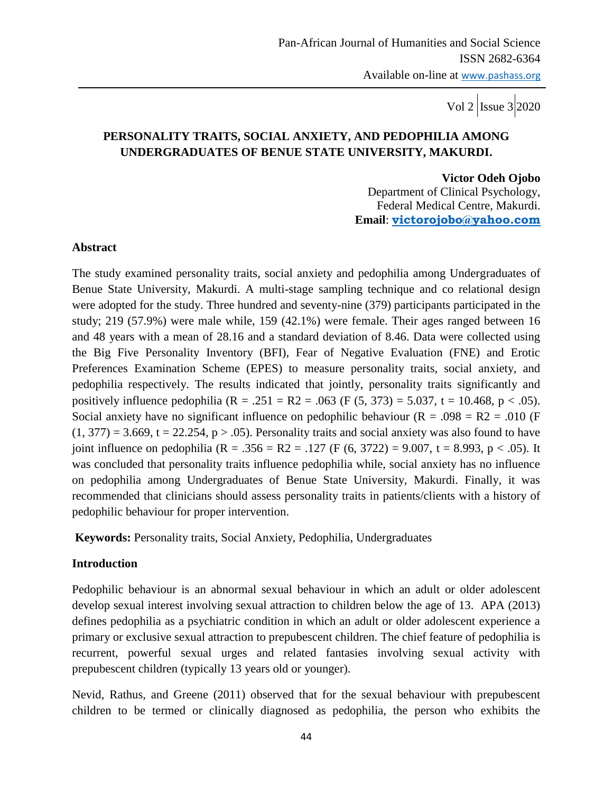# **PERSONALITY TRAITS, SOCIAL ANXIETY, AND PEDOPHILIA AMONG UNDERGRADUATES OF BENUE STATE UNIVERSITY, MAKURDI.**

#### **Victor Odeh Ojobo**

 Department of Clinical Psychology, Federal Medical Centre, Makurdi. **Email**: **[victorojobo@yahoo.com](mailto:victorojobo@yahoo.com)**

#### **Abstract**

The study examined personality traits, social anxiety and pedophilia among Undergraduates of Benue State University, Makurdi. A multi-stage sampling technique and co relational design were adopted for the study. Three hundred and seventy-nine (379) participants participated in the study; 219 (57.9%) were male while, 159 (42.1%) were female. Their ages ranged between 16 and 48 years with a mean of 28.16 and a standard deviation of 8.46. Data were collected using the Big Five Personality Inventory (BFI), Fear of Negative Evaluation (FNE) and Erotic Preferences Examination Scheme (EPES) to measure personality traits, social anxiety, and pedophilia respectively. The results indicated that jointly, personality traits significantly and positively influence pedophilia ( $R = .251 = R2 = .063$  (F (5, 373) = 5.037, t = 10.468, p < .05). Social anxiety have no significant influence on pedophilic behaviour ( $R = .098 = R2 = .010$  (F)  $(1, 377) = 3.669$ , t = 22.254, p > .05). Personality traits and social anxiety was also found to have joint influence on pedophilia (R = .356 = R2 = .127 (F (6, 3722) = 9.007, t = 8.993, p < .05). It was concluded that personality traits influence pedophilia while, social anxiety has no influence on pedophilia among Undergraduates of Benue State University, Makurdi. Finally, it was recommended that clinicians should assess personality traits in patients/clients with a history of pedophilic behaviour for proper intervention.

**Keywords:** Personality traits, Social Anxiety, Pedophilia, Undergraduates

#### **Introduction**

Pedophilic behaviour is an abnormal sexual behaviour in which an adult or older adolescent develop sexual interest involving sexual attraction to children below the age of 13. APA (2013) defines pedophilia as a psychiatric condition in which an adult or older adolescent experience a primary or exclusive sexual attraction to prepubescent children. The chief feature of pedophilia is recurrent, powerful sexual urges and related fantasies involving sexual activity with prepubescent children (typically 13 years old or younger).

Nevid, Rathus, and Greene (2011) observed that for the sexual behaviour with prepubescent children to be termed or clinically diagnosed as pedophilia, the person who exhibits the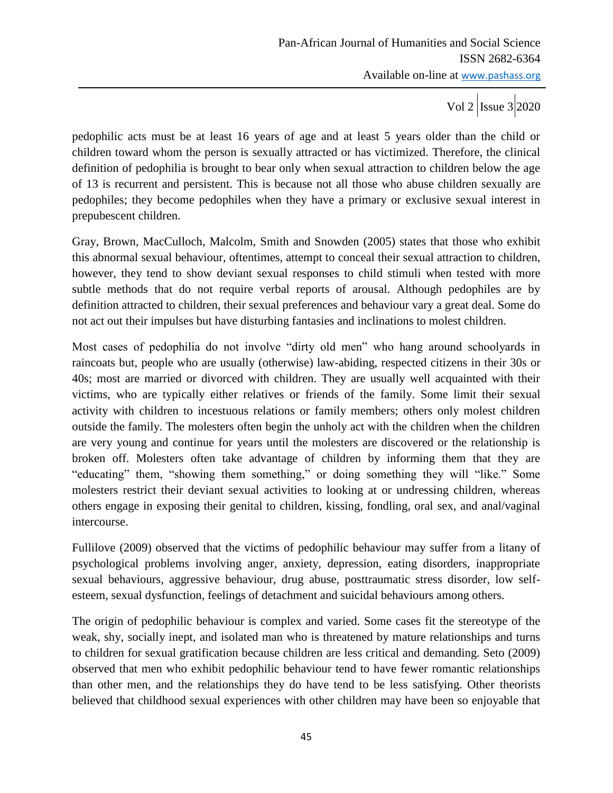pedophilic acts must be at least 16 years of age and at least 5 years older than the child or children toward whom the person is sexually attracted or has victimized. Therefore, the clinical definition of pedophilia is brought to bear only when sexual attraction to children below the age of 13 is recurrent and persistent. This is because not all those who abuse children sexually are pedophiles; they become pedophiles when they have a primary or exclusive sexual interest in prepubescent children.

Gray, Brown, MacCulloch, Malcolm, Smith and Snowden (2005) states that those who exhibit this abnormal sexual behaviour, oftentimes, attempt to conceal their sexual attraction to children, however, they tend to show deviant sexual responses to child stimuli when tested with more subtle methods that do not require verbal reports of arousal. Although pedophiles are by definition attracted to children, their sexual preferences and behaviour vary a great deal. Some do not act out their impulses but have disturbing fantasies and inclinations to molest children.

Most cases of pedophilia do not involve "dirty old men" who hang around schoolyards in raincoats but, people who are usually (otherwise) law-abiding, respected citizens in their 30s or 40s; most are married or divorced with children. They are usually well acquainted with their victims, who are typically either relatives or friends of the family. Some limit their sexual activity with children to incestuous relations or family members; others only molest children outside the family. The molesters often begin the unholy act with the children when the children are very young and continue for years until the molesters are discovered or the relationship is broken off. Molesters often take advantage of children by informing them that they are "educating" them, "showing them something," or doing something they will "like." Some molesters restrict their deviant sexual activities to looking at or undressing children, whereas others engage in exposing their genital to children, kissing, fondling, oral sex, and anal/vaginal intercourse.

Fullilove (2009) observed that the victims of pedophilic behaviour may suffer from a litany of psychological problems involving anger, anxiety, depression, eating disorders, inappropriate sexual behaviours, aggressive behaviour, drug abuse, posttraumatic stress disorder, low selfesteem, sexual dysfunction, feelings of detachment and suicidal behaviours among others.

The origin of pedophilic behaviour is complex and varied. Some cases fit the stereotype of the weak, shy, socially inept, and isolated man who is threatened by mature relationships and turns to children for sexual gratification because children are less critical and demanding. Seto (2009) observed that men who exhibit pedophilic behaviour tend to have fewer romantic relationships than other men, and the relationships they do have tend to be less satisfying. Other theorists believed that childhood sexual experiences with other children may have been so enjoyable that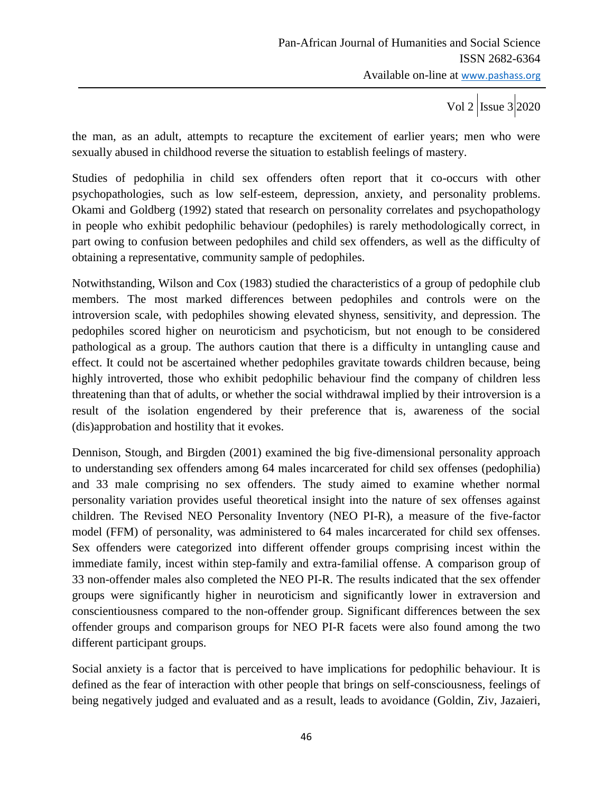the man, as an adult, attempts to recapture the excitement of earlier years; men who were sexually abused in childhood reverse the situation to establish feelings of mastery.

Studies of pedophilia in child sex offenders often report that it co-occurs with other psychopathologies, such as low self-esteem, depression, anxiety, and personality problems. Okami and Goldberg (1992) stated that research on personality correlates and psychopathology in people who exhibit pedophilic behaviour (pedophiles) is rarely methodologically correct, in part owing to confusion between pedophiles and child sex offenders, as well as the difficulty of obtaining a representative, community sample of pedophiles.

Notwithstanding, Wilson and Cox (1983) studied the characteristics of a group of pedophile club members. The most marked differences between pedophiles and controls were on the introversion scale, with pedophiles showing elevated shyness, sensitivity, and depression. The pedophiles scored higher on neuroticism and psychoticism, but not enough to be considered pathological as a group. The authors caution that there is a difficulty in untangling cause and effect. It could not be ascertained whether pedophiles gravitate towards children because, being highly introverted, those who exhibit pedophilic behaviour find the company of children less threatening than that of adults, or whether the social withdrawal implied by their introversion is a result of the isolation engendered by their preference that is, awareness of the social (dis)approbation and hostility that it evokes.

Dennison, Stough, and Birgden (2001) examined the big five-dimensional personality approach to understanding sex offenders among 64 males incarcerated for child sex offenses (pedophilia) and 33 male comprising no sex offenders. The study aimed to examine whether normal personality variation provides useful theoretical insight into the nature of sex offenses against children. The Revised NEO Personality Inventory (NEO PI-R), a measure of the five-factor model (FFM) of personality, was administered to 64 males incarcerated for child sex offenses. Sex offenders were categorized into different offender groups comprising incest within the immediate family, incest within step-family and extra-familial offense. A comparison group of 33 non-offender males also completed the NEO PI-R. The results indicated that the sex offender groups were significantly higher in neuroticism and significantly lower in extraversion and conscientiousness compared to the non-offender group. Significant differences between the sex offender groups and comparison groups for NEO PI-R facets were also found among the two different participant groups.

Social anxiety is a factor that is perceived to have implications for pedophilic behaviour. It is defined as the fear of interaction with other people that brings on self-consciousness, feelings of being negatively judged and evaluated and as a result, leads to avoidance (Goldin, Ziv, Jazaieri,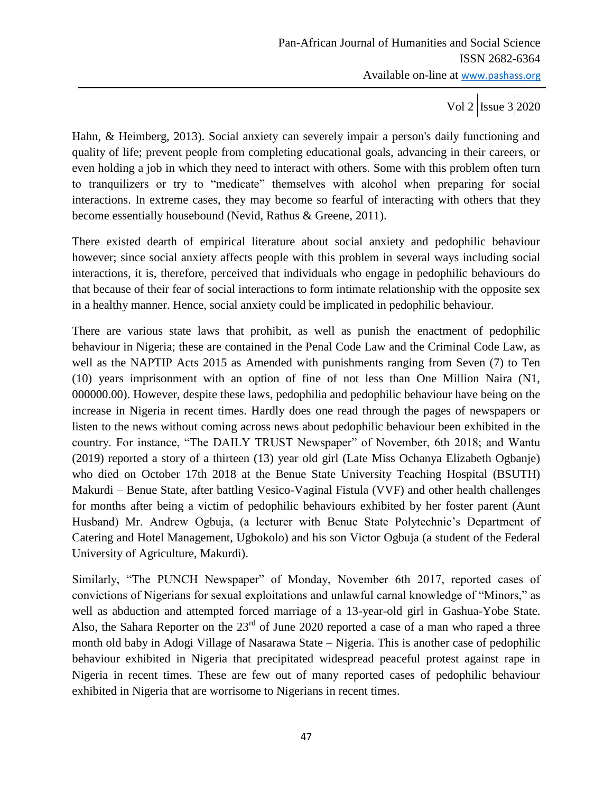Hahn, & Heimberg, 2013). Social anxiety can severely impair a person's daily functioning and quality of life; prevent people from completing educational goals, advancing in their careers, or even holding a job in which they need to interact with others. Some with this problem often turn to tranquilizers or try to "medicate" themselves with alcohol when preparing for social interactions. In extreme cases, they may become so fearful of interacting with others that they become essentially housebound (Nevid, Rathus & Greene, 2011).

There existed dearth of empirical literature about social anxiety and pedophilic behaviour however; since social anxiety affects people with this problem in several ways including social interactions, it is, therefore, perceived that individuals who engage in pedophilic behaviours do that because of their fear of social interactions to form intimate relationship with the opposite sex in a healthy manner. Hence, social anxiety could be implicated in pedophilic behaviour.

There are various state laws that prohibit, as well as punish the enactment of pedophilic behaviour in Nigeria; these are contained in the Penal Code Law and the Criminal Code Law, as well as the NAPTIP Acts 2015 as Amended with punishments ranging from Seven (7) to Ten (10) years imprisonment with an option of fine of not less than One Million Naira (N1, 000000.00). However, despite these laws, pedophilia and pedophilic behaviour have being on the increase in Nigeria in recent times. Hardly does one read through the pages of newspapers or listen to the news without coming across news about pedophilic behaviour been exhibited in the country. For instance, "The DAILY TRUST Newspaper" of November, 6th 2018; and Wantu (2019) reported a story of a thirteen (13) year old girl (Late Miss Ochanya Elizabeth Ogbanje) who died on October 17th 2018 at the Benue State University Teaching Hospital (BSUTH) Makurdi – Benue State, after battling Vesico-Vaginal Fistula (VVF) and other health challenges for months after being a victim of pedophilic behaviours exhibited by her foster parent (Aunt Husband) Mr. Andrew Ogbuja, (a lecturer with Benue State Polytechnic's Department of Catering and Hotel Management, Ugbokolo) and his son Victor Ogbuja (a student of the Federal University of Agriculture, Makurdi).

Similarly, "The PUNCH Newspaper" of Monday, November 6th 2017, reported cases of convictions of Nigerians for sexual exploitations and unlawful carnal knowledge of "Minors," as well as abduction and attempted forced marriage of a 13-year-old girl in Gashua-Yobe State. Also, the Sahara Reporter on the  $23<sup>rd</sup>$  of June 2020 reported a case of a man who raped a three month old baby in Adogi Village of Nasarawa State – Nigeria. This is another case of pedophilic behaviour exhibited in Nigeria that precipitated widespread peaceful protest against rape in Nigeria in recent times. These are few out of many reported cases of pedophilic behaviour exhibited in Nigeria that are worrisome to Nigerians in recent times.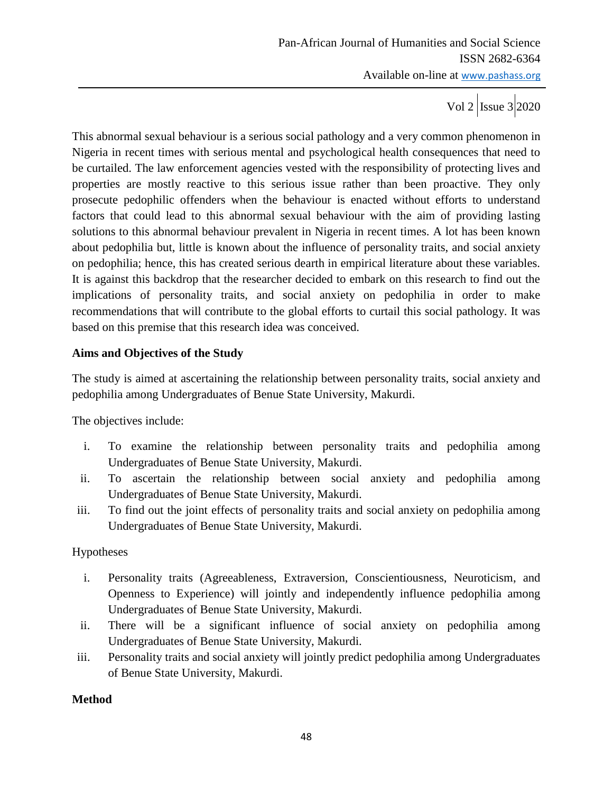This abnormal sexual behaviour is a serious social pathology and a very common phenomenon in Nigeria in recent times with serious mental and psychological health consequences that need to be curtailed. The law enforcement agencies vested with the responsibility of protecting lives and properties are mostly reactive to this serious issue rather than been proactive. They only prosecute pedophilic offenders when the behaviour is enacted without efforts to understand factors that could lead to this abnormal sexual behaviour with the aim of providing lasting solutions to this abnormal behaviour prevalent in Nigeria in recent times. A lot has been known about pedophilia but, little is known about the influence of personality traits, and social anxiety on pedophilia; hence, this has created serious dearth in empirical literature about these variables. It is against this backdrop that the researcher decided to embark on this research to find out the implications of personality traits, and social anxiety on pedophilia in order to make recommendations that will contribute to the global efforts to curtail this social pathology. It was based on this premise that this research idea was conceived.

## **Aims and Objectives of the Study**

The study is aimed at ascertaining the relationship between personality traits, social anxiety and pedophilia among Undergraduates of Benue State University, Makurdi.

The objectives include:

- i. To examine the relationship between personality traits and pedophilia among Undergraduates of Benue State University, Makurdi.
- ii. To ascertain the relationship between social anxiety and pedophilia among Undergraduates of Benue State University, Makurdi.
- iii. To find out the joint effects of personality traits and social anxiety on pedophilia among Undergraduates of Benue State University, Makurdi.

## Hypotheses

- i. Personality traits (Agreeableness, Extraversion, Conscientiousness, Neuroticism, and Openness to Experience) will jointly and independently influence pedophilia among Undergraduates of Benue State University, Makurdi.
- ii. There will be a significant influence of social anxiety on pedophilia among Undergraduates of Benue State University, Makurdi.
- iii. Personality traits and social anxiety will jointly predict pedophilia among Undergraduates of Benue State University, Makurdi.

# **Method**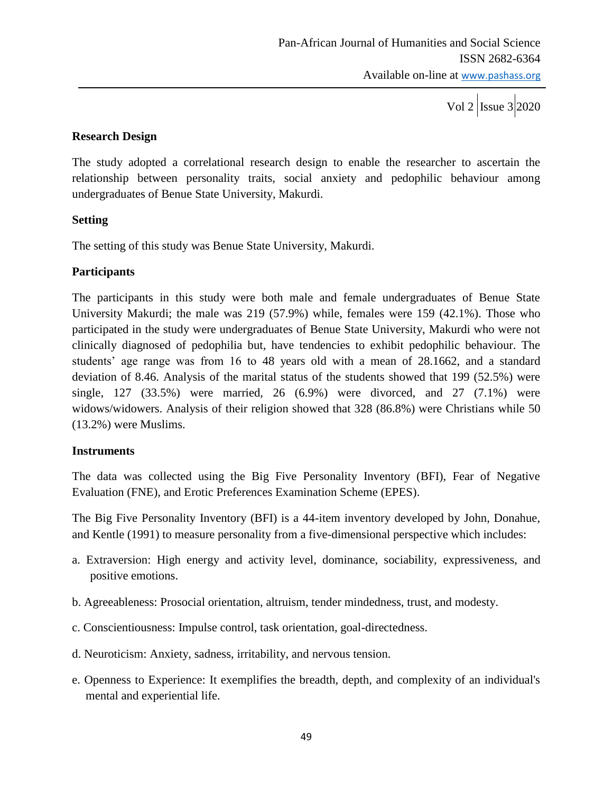Vol 2  $\vert$ Issue 3  $\vert$ 2020

### **Research Design**

The study adopted a correlational research design to enable the researcher to ascertain the relationship between personality traits, social anxiety and pedophilic behaviour among undergraduates of Benue State University, Makurdi.

### **Setting**

The setting of this study was Benue State University, Makurdi.

### **Participants**

The participants in this study were both male and female undergraduates of Benue State University Makurdi; the male was 219 (57.9%) while, females were 159 (42.1%). Those who participated in the study were undergraduates of Benue State University, Makurdi who were not clinically diagnosed of pedophilia but, have tendencies to exhibit pedophilic behaviour. The students' age range was from 16 to 48 years old with a mean of 28.1662, and a standard deviation of 8.46. Analysis of the marital status of the students showed that 199 (52.5%) were single, 127 (33.5%) were married, 26 (6.9%) were divorced, and 27 (7.1%) were widows/widowers. Analysis of their religion showed that 328 (86.8%) were Christians while 50 (13.2%) were Muslims.

#### **Instruments**

The data was collected using the Big Five Personality Inventory (BFI), Fear of Negative Evaluation (FNE), and Erotic Preferences Examination Scheme (EPES).

The Big Five Personality Inventory (BFI) is a 44-item inventory developed by John, Donahue, and Kentle (1991) to measure personality from a five-dimensional perspective which includes:

- a. Extraversion: High energy and activity level, dominance, sociability, expressiveness, and positive emotions.
- b. Agreeableness: Prosocial orientation, altruism, tender mindedness, trust, and modesty.
- c. Conscientiousness: Impulse control, task orientation, goal-directedness.
- d. Neuroticism: Anxiety, sadness, irritability, and nervous tension.
- e. Openness to Experience: It exemplifies the breadth, depth, and complexity of an individual's mental and experiential life.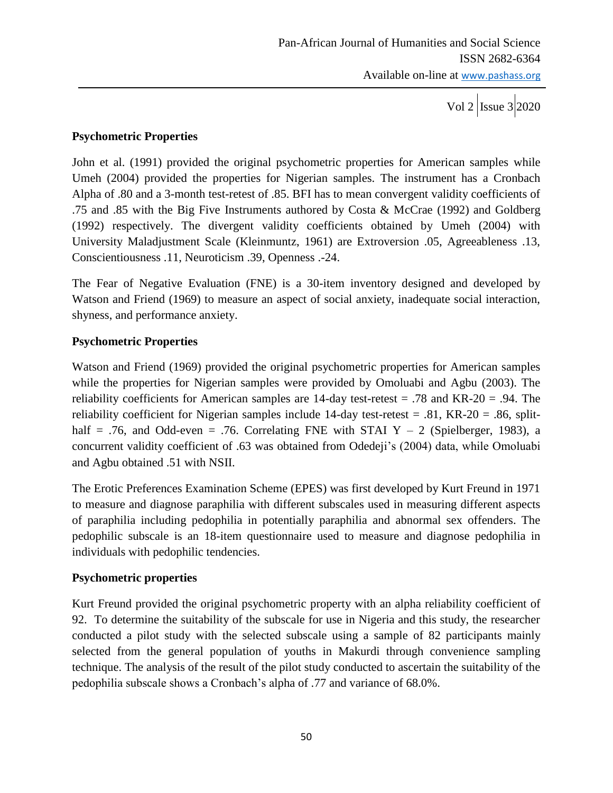Vol 2  $\vert$ Issue 3 2020

## **Psychometric Properties**

John et al. (1991) provided the original psychometric properties for American samples while Umeh (2004) provided the properties for Nigerian samples. The instrument has a Cronbach Alpha of .80 and a 3-month test-retest of .85. BFI has to mean convergent validity coefficients of .75 and .85 with the Big Five Instruments authored by Costa & McCrae (1992) and Goldberg (1992) respectively. The divergent validity coefficients obtained by Umeh (2004) with University Maladjustment Scale (Kleinmuntz, 1961) are Extroversion .05, Agreeableness .13, Conscientiousness .11, Neuroticism .39, Openness .-24.

The Fear of Negative Evaluation (FNE) is a 30-item inventory designed and developed by Watson and Friend (1969) to measure an aspect of social anxiety, inadequate social interaction, shyness, and performance anxiety.

# **Psychometric Properties**

Watson and Friend (1969) provided the original psychometric properties for American samples while the properties for Nigerian samples were provided by Omoluabi and Agbu (2003). The reliability coefficients for American samples are  $14$ -day test-retest = .78 and KR-20 = .94. The reliability coefficient for Nigerian samples include 14-day test-retest = .81,  $KR-20 = .86$ , splithalf = .76, and Odd-even = .76. Correlating FNE with STAI Y  $-$  2 (Spielberger, 1983), a concurrent validity coefficient of .63 was obtained from Odedeji's (2004) data, while Omoluabi and Agbu obtained .51 with NSII.

The Erotic Preferences Examination Scheme (EPES) was first developed by Kurt Freund in 1971 to measure and diagnose paraphilia with different subscales used in measuring different aspects of paraphilia including pedophilia in potentially paraphilia and abnormal sex offenders. The pedophilic subscale is an 18-item questionnaire used to measure and diagnose pedophilia in individuals with pedophilic tendencies.

# **Psychometric properties**

Kurt Freund provided the original psychometric property with an alpha reliability coefficient of 92. To determine the suitability of the subscale for use in Nigeria and this study, the researcher conducted a pilot study with the selected subscale using a sample of 82 participants mainly selected from the general population of youths in Makurdi through convenience sampling technique. The analysis of the result of the pilot study conducted to ascertain the suitability of the pedophilia subscale shows a Cronbach's alpha of .77 and variance of 68.0%.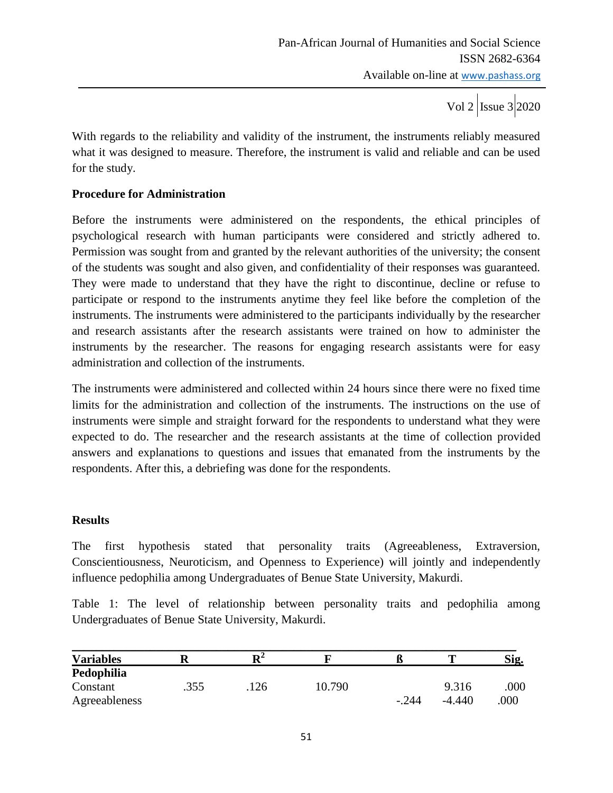With regards to the reliability and validity of the instrument, the instruments reliably measured what it was designed to measure. Therefore, the instrument is valid and reliable and can be used for the study.

## **Procedure for Administration**

Before the instruments were administered on the respondents, the ethical principles of psychological research with human participants were considered and strictly adhered to. Permission was sought from and granted by the relevant authorities of the university; the consent of the students was sought and also given, and confidentiality of their responses was guaranteed. They were made to understand that they have the right to discontinue, decline or refuse to participate or respond to the instruments anytime they feel like before the completion of the instruments. The instruments were administered to the participants individually by the researcher and research assistants after the research assistants were trained on how to administer the instruments by the researcher. The reasons for engaging research assistants were for easy administration and collection of the instruments.

The instruments were administered and collected within 24 hours since there were no fixed time limits for the administration and collection of the instruments. The instructions on the use of instruments were simple and straight forward for the respondents to understand what they were expected to do. The researcher and the research assistants at the time of collection provided answers and explanations to questions and issues that emanated from the instruments by the respondents. After this, a debriefing was done for the respondents.

#### **Results**

The first hypothesis stated that personality traits (Agreeableness, Extraversion, Conscientiousness, Neuroticism, and Openness to Experience) will jointly and independently influence pedophilia among Undergraduates of Benue State University, Makurdi.

Table 1: The level of relationship between personality traits and pedophilia among Undergraduates of Benue State University, Makurdi.

| <b>Variables</b> |      | D4   |        | ĸ       |          | Sig. |
|------------------|------|------|--------|---------|----------|------|
| Pedophilia       |      |      |        |         |          |      |
| Constant         | .355 | .126 | 10.790 |         | 9.316    | .000 |
| Agreeableness    |      |      |        | $-.244$ | $-4.440$ | 000  |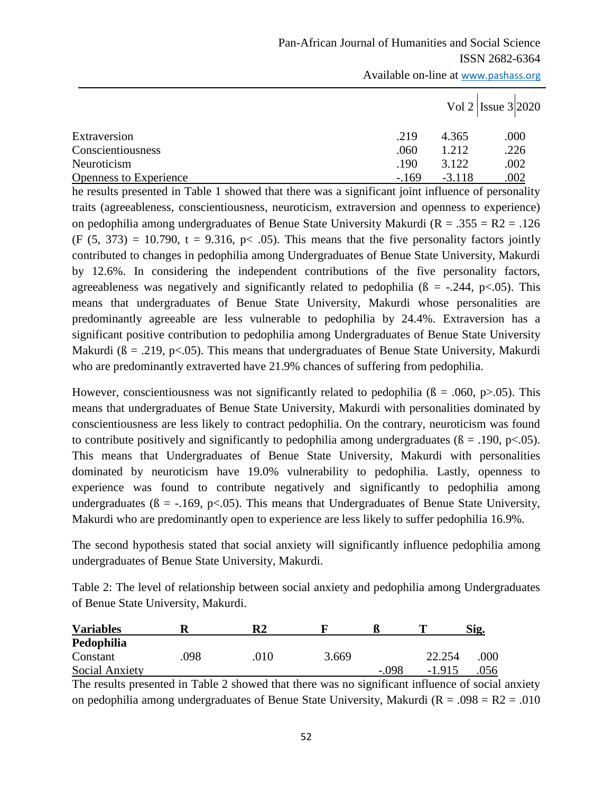|                               |        | Vol 2   Issue $3 2020$ |      |  |
|-------------------------------|--------|------------------------|------|--|
| Extraversion                  | .219   | 4.365                  | .000 |  |
| Conscientiousness             | .060   | 1.212                  | .226 |  |
| Neuroticism                   | .190   | 3.122                  | .002 |  |
| <b>Openness to Experience</b> | $-169$ | $-3.118$               | .002 |  |

he results presented in Table 1 showed that there was a significant joint influence of personality traits (agreeableness, conscientiousness, neuroticism, extraversion and openness to experience) on pedophilia among undergraduates of Benue State University Makurdi ( $R = .355 = R2 = .126$ )  $(F (5, 373) = 10.790$ ,  $t = 9.316$ ,  $p < .05$ ). This means that the five personality factors jointly contributed to changes in pedophilia among Undergraduates of Benue State University, Makurdi by 12.6%. In considering the independent contributions of the five personality factors, agreeableness was negatively and significantly related to pedophilia ( $\beta$  = -.244, p<.05). This means that undergraduates of Benue State University, Makurdi whose personalities are predominantly agreeable are less vulnerable to pedophilia by 24.4%. Extraversion has a significant positive contribution to pedophilia among Undergraduates of Benue State University Makurdi ( $\beta = .219$ , p<.05). This means that undergraduates of Benue State University, Makurdi who are predominantly extraverted have 21.9% chances of suffering from pedophilia.

However, conscientiousness was not significantly related to pedophilia ( $\beta = .060$ , p $> .05$ ). This means that undergraduates of Benue State University, Makurdi with personalities dominated by conscientiousness are less likely to contract pedophilia. On the contrary, neuroticism was found to contribute positively and significantly to pedophilia among undergraduates ( $\beta = .190$ , p<.05). This means that Undergraduates of Benue State University, Makurdi with personalities dominated by neuroticism have 19.0% vulnerability to pedophilia. Lastly, openness to experience was found to contribute negatively and significantly to pedophilia among undergraduates ( $\beta = -169$ , p<.05). This means that Undergraduates of Benue State University, Makurdi who are predominantly open to experience are less likely to suffer pedophilia 16.9%.

The second hypothesis stated that social anxiety will significantly influence pedophilia among undergraduates of Benue State University, Makurdi.

Table 2: The level of relationship between social anxiety and pedophilia among Undergraduates of Benue State University, Makurdi.

| <b>Variables</b>      |     | R2   |       |       |          | Sig. |
|-----------------------|-----|------|-------|-------|----------|------|
| Pedophilia            |     |      |       |       |          |      |
| Constant              | 098 | 010. | 3.669 |       | 22.254   | .000 |
| <b>Social Anxiety</b> |     |      |       | - 098 | $-1.915$ | .056 |

The results presented in Table 2 showed that there was no significant influence of social anxiety on pedophilia among undergraduates of Benue State University, Makurdi ( $R = .098 = R2 = .010$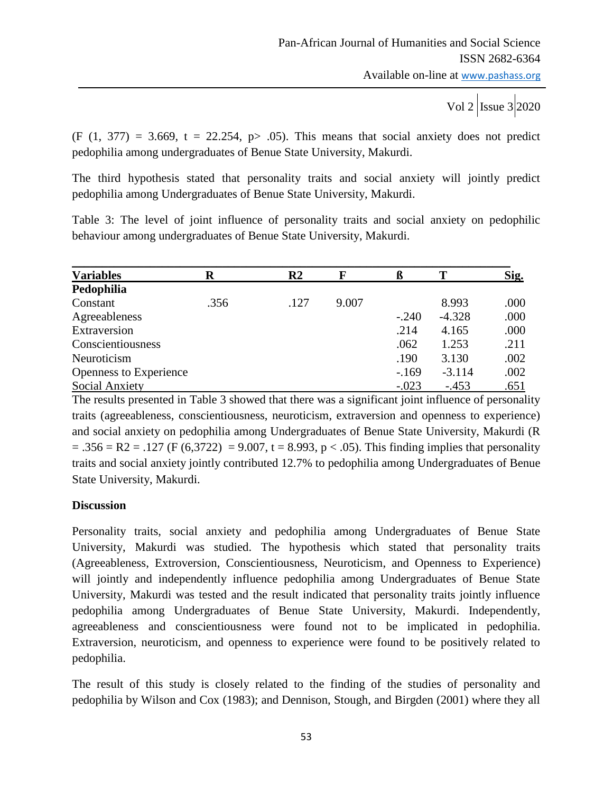Vol 2  $\vert$  Issue 3 2020

 $(F (1, 377) = 3.669, t = 22.254, p > .05)$ . This means that social anxiety does not predict pedophilia among undergraduates of Benue State University, Makurdi.

The third hypothesis stated that personality traits and social anxiety will jointly predict pedophilia among Undergraduates of Benue State University, Makurdi.

Table 3: The level of joint influence of personality traits and social anxiety on pedophilic behaviour among undergraduates of Benue State University, Makurdi.

| <b>Variables</b>       | R    | R <sub>2</sub> | F     | ß       |          | <u>Sig.</u> |
|------------------------|------|----------------|-------|---------|----------|-------------|
| Pedophilia             |      |                |       |         |          |             |
| Constant               | .356 | .127           | 9.007 |         | 8.993    | .000        |
| Agreeableness          |      |                |       | $-.240$ | $-4.328$ | .000        |
| Extraversion           |      |                |       | .214    | 4.165    | .000        |
| Conscientiousness      |      |                |       | .062    | 1.253    | .211        |
| Neuroticism            |      |                |       | .190    | 3.130    | .002        |
| Openness to Experience |      |                |       | $-169$  | $-3.114$ | .002        |
| <b>Social Anxiety</b>  |      |                |       | $-.023$ | $-453$   | .651        |

The results presented in Table 3 showed that there was a significant joint influence of personality traits (agreeableness, conscientiousness, neuroticism, extraversion and openness to experience) and social anxiety on pedophilia among Undergraduates of Benue State University, Makurdi (R  $= .356 = R2 = .127$  (F (6,3722) = 9.007, t = 8.993, p < .05). This finding implies that personality traits and social anxiety jointly contributed 12.7% to pedophilia among Undergraduates of Benue State University, Makurdi.

## **Discussion**

Personality traits, social anxiety and pedophilia among Undergraduates of Benue State University, Makurdi was studied. The hypothesis which stated that personality traits (Agreeableness, Extroversion, Conscientiousness, Neuroticism, and Openness to Experience) will jointly and independently influence pedophilia among Undergraduates of Benue State University, Makurdi was tested and the result indicated that personality traits jointly influence pedophilia among Undergraduates of Benue State University, Makurdi. Independently, agreeableness and conscientiousness were found not to be implicated in pedophilia. Extraversion, neuroticism, and openness to experience were found to be positively related to pedophilia.

The result of this study is closely related to the finding of the studies of personality and pedophilia by Wilson and Cox (1983); and Dennison, Stough, and Birgden (2001) where they all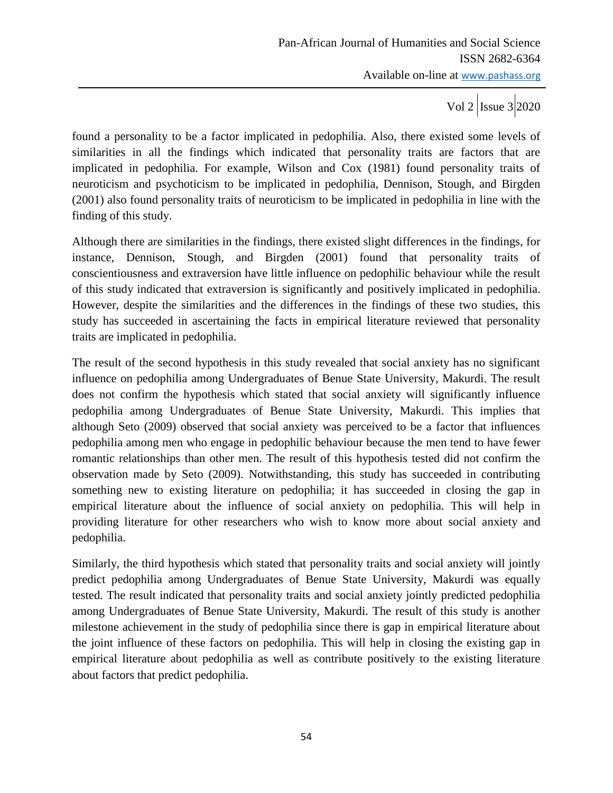Vol 2  $\vert$  Issue 3 2020

found a personality to be a factor implicated in pedophilia. Also, there existed some levels of similarities in all the findings which indicated that personality traits are factors that are implicated in pedophilia. For example, Wilson and Cox (1981) found personality traits of neuroticism and psychoticism to be implicated in pedophilia, Dennison, Stough, and Birgden (2001) also found personality traits of neuroticism to be implicated in pedophilia in line with the finding of this study.

Although there are similarities in the findings, there existed slight differences in the findings, for instance, Dennison, Stough, and Birgden (2001) found that personality traits of conscientiousness and extraversion have little influence on pedophilic behaviour while the result of this study indicated that extraversion is significantly and positively implicated in pedophilia. However, despite the similarities and the differences in the findings of these two studies, this study has succeeded in ascertaining the facts in empirical literature reviewed that personality traits are implicated in pedophilia.

The result of the second hypothesis in this study revealed that social anxiety has no significant influence on pedophilia among Undergraduates of Benue State University, Makurdi. The result does not confirm the hypothesis which stated that social anxiety will significantly influence pedophilia among Undergraduates of Benue State University, Makurdi. This implies that although Seto (2009) observed that social anxiety was perceived to be a factor that influences pedophilia among men who engage in pedophilic behaviour because the men tend to have fewer romantic relationships than other men. The result of this hypothesis tested did not confirm the observation made by Seto (2009). Notwithstanding, this study has succeeded in contributing something new to existing literature on pedophilia; it has succeeded in closing the gap in empirical literature about the influence of social anxiety on pedophilia. This will help in providing literature for other researchers who wish to know more about social anxiety and pedophilia.

Similarly, the third hypothesis which stated that personality traits and social anxiety will jointly predict pedophilia among Undergraduates of Benue State University, Makurdi was equally tested. The result indicated that personality traits and social anxiety jointly predicted pedophilia among Undergraduates of Benue State University, Makurdi. The result of this study is another milestone achievement in the study of pedophilia since there is gap in empirical literature about the joint influence of these factors on pedophilia. This will help in closing the existing gap in empirical literature about pedophilia as well as contribute positively to the existing literature about factors that predict pedophilia.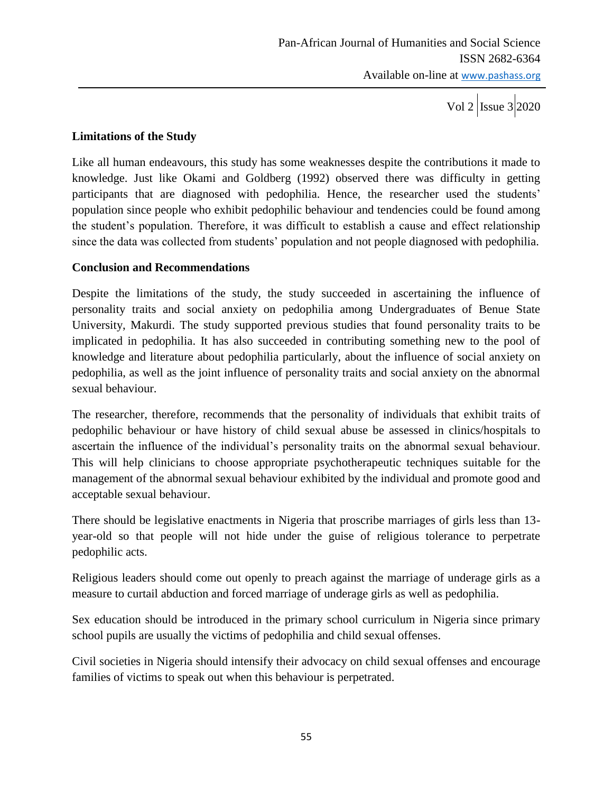## **Limitations of the Study**

Like all human endeavours, this study has some weaknesses despite the contributions it made to knowledge. Just like Okami and Goldberg (1992) observed there was difficulty in getting participants that are diagnosed with pedophilia. Hence, the researcher used the students' population since people who exhibit pedophilic behaviour and tendencies could be found among the student's population. Therefore, it was difficult to establish a cause and effect relationship since the data was collected from students' population and not people diagnosed with pedophilia.

## **Conclusion and Recommendations**

Despite the limitations of the study, the study succeeded in ascertaining the influence of personality traits and social anxiety on pedophilia among Undergraduates of Benue State University, Makurdi. The study supported previous studies that found personality traits to be implicated in pedophilia. It has also succeeded in contributing something new to the pool of knowledge and literature about pedophilia particularly, about the influence of social anxiety on pedophilia, as well as the joint influence of personality traits and social anxiety on the abnormal sexual behaviour.

The researcher, therefore, recommends that the personality of individuals that exhibit traits of pedophilic behaviour or have history of child sexual abuse be assessed in clinics/hospitals to ascertain the influence of the individual's personality traits on the abnormal sexual behaviour. This will help clinicians to choose appropriate psychotherapeutic techniques suitable for the management of the abnormal sexual behaviour exhibited by the individual and promote good and acceptable sexual behaviour.

There should be legislative enactments in Nigeria that proscribe marriages of girls less than 13 year-old so that people will not hide under the guise of religious tolerance to perpetrate pedophilic acts.

Religious leaders should come out openly to preach against the marriage of underage girls as a measure to curtail abduction and forced marriage of underage girls as well as pedophilia.

Sex education should be introduced in the primary school curriculum in Nigeria since primary school pupils are usually the victims of pedophilia and child sexual offenses.

Civil societies in Nigeria should intensify their advocacy on child sexual offenses and encourage families of victims to speak out when this behaviour is perpetrated.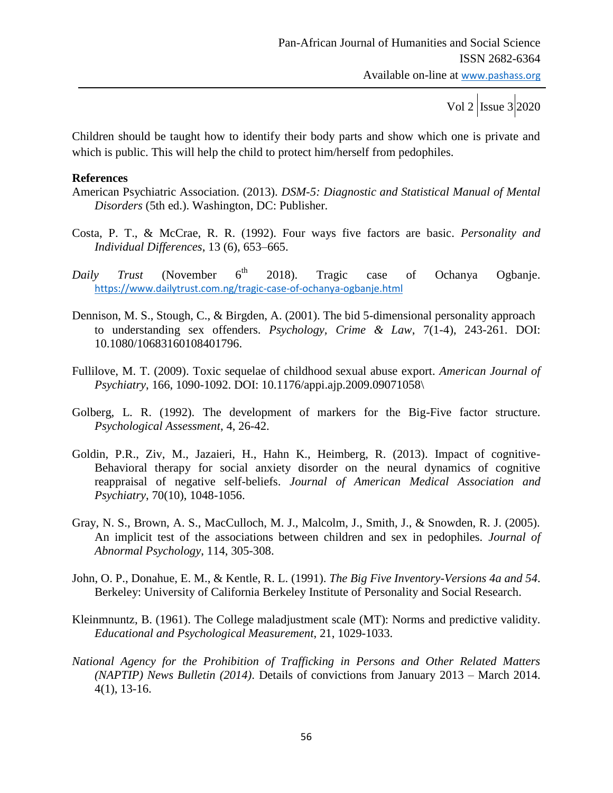Children should be taught how to identify their body parts and show which one is private and which is public. This will help the child to protect him/herself from pedophiles.

#### **References**

- American Psychiatric Association. (2013). *DSM-5: Diagnostic and Statistical Manual of Mental Disorders* (5th ed.). Washington, DC: Publisher.
- Costa, P. T., & McCrae, R. R. (1992). Four ways five factors are basic. *Personality and Individual Differences*, 13 (6), 653–665.
- *Daily Trust* (November 6<sup>th</sup> 2018). Tragic case of Ochanya Ogbanje. <https://www.dailytrust.com.ng/tragic-case-of-ochanya-ogbanje.html>
- Dennison, M. S., Stough, C., & Birgden, A. (2001). The bid 5-dimensional personality approach to understanding sex offenders. *Psychology, Crime & Law*, 7(1-4), 243-261. DOI: 10.1080/10683160108401796.
- Fullilove, M. T. (2009). Toxic sequelae of childhood sexual abuse export. *American Journal of Psychiatry*, 166, 1090-1092. DOI: 10.1176/appi.ajp.2009.09071058\
- Golberg, L. R. (1992). The development of markers for the Big-Five factor structure. *Psychological Assessment*, 4, 26-42.
- Goldin, P.R., Ziv, M., Jazaieri, H., Hahn K., Heimberg, R. (2013). Impact of cognitive-Behavioral therapy for social anxiety disorder on the neural dynamics of cognitive reappraisal of negative self-beliefs. *Journal of American Medical Association and Psychiatry*, 70(10), 1048-1056.
- Gray, N. S., Brown, A. S., MacCulloch, M. J., Malcolm, J., Smith, J., & Snowden, R. J. (2005). An implicit test of the associations between children and sex in pedophiles. *Journal of Abnormal Psychology*, 114, 305-308.
- John, O. P., Donahue, E. M., & Kentle, R. L. (1991). *The Big Five Inventory-Versions 4a and 54*. Berkeley: University of California Berkeley Institute of Personality and Social Research.
- Kleinmnuntz, B. (1961). The College maladjustment scale (MT): Norms and predictive validity. *Educational and Psychological Measurement*, 21, 1029-1033.
- *National Agency for the Prohibition of Trafficking in Persons and Other Related Matters (NAPTIP) News Bulletin (2014)*. Details of convictions from January 2013 – March 2014. 4(1), 13-16.